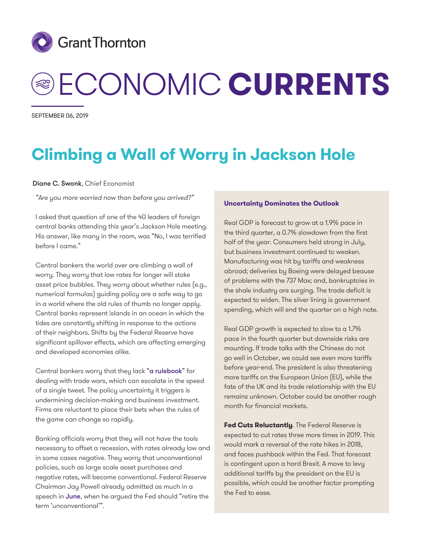

# ECONOMIC **CURRENTS**

September 06, 2019

# **Climbing a Wall of Worry in Jackson Hole**

Diane C. Swonk, Chief Economist

*"Are you more worried now than before you arrived?"*

I asked that question of one of the 40 leaders of foreign central banks attending this year's Jackson Hole meeting. His answer, like many in the room, was "No, I was terrified before I came."

Central bankers the world over are climbing a wall of worry. They worry that low rates for longer will stoke asset price bubbles. They worry about whether rules (e.g., numerical formulas) guiding policy are a safe way to go in a world where the old rules of thumb no longer apply. Central banks represent islands in an ocean in which the tides are constantly shifting in response to the actions of their neighbors. Shifts by the Federal Reserve have significant spillover effects, which are affecting emerging and developed economies alike.

Central bankers worry that they lack "[a rulebook](https://www.federalreserve.gov/newsevents/speech/powell20190823a.htm)" for dealing with trade wars, which can escalate in the speed of a single tweet. The policy uncertainty it triggers is undermining decision-making and business investment. Firms are reluctant to place their bets when the rules of the game can change so rapidly.

Banking officials worry that they will not have the tools necessary to offset a recession, with rates already low and in some cases negative. They worry that unconventional policies, such as large scale asset purchases and negative rates, will become conventional. Federal Reserve Chairman Jay Powell already admitted as much in a speech in [June](https://www.federalreserve.gov/newsevents/speech/files/powell20190604a.pdf), when he argued the Fed should "retire the term 'unconventional'".

#### **Uncertainty Dominates the Outlook**

Real GDP is forecast to grow at a 1.9% pace in the third quarter, a 0.7% slowdown from the first half of the year. Consumers held strong in July, but business investment continued to weaken. Manufacturing was hit by tariffs and weakness abroad; deliveries by Boeing were delayed beause of problems with the 737 Max; and, bankruptcies in the shale industry are surging. The trade deficit is expected to widen. The silver lining is government spending, which will end the quarter on a high note.

Real GDP growth is expected to slow to a 1.7% pace in the fourth quarter but downside risks are mounting. If trade talks with the Chinese do not go well in October, we could see even more tariffs before year-end. The president is also threatening more tariffs on the European Union (EU), while the fate of the UK and its trade relationship with the EU remains unknown. October could be another rough month for financial markets.

**Fed Cuts Reluctantly**. The Federal Reserve is expected to cut rates three more times in 2019. This would mark a reversal of the rate hikes in 2018, and faces pushback within the Fed. That forecast is contingent upon a hard Brexit. A move to levy additional tariffs by the president on the EU is possible, which could be another factor prompting the Fed to ease.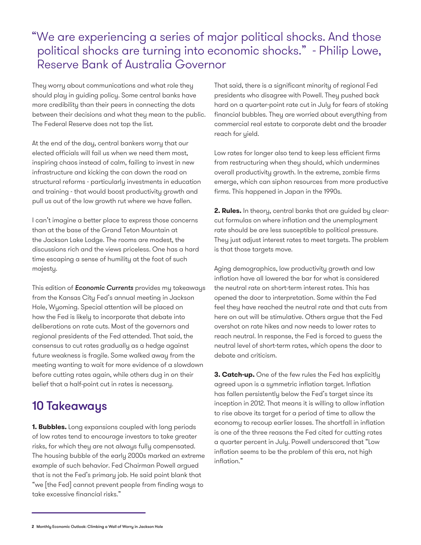"We are experiencing a series of major political shocks. And those political shocks are turning into economic shocks." - [Philip Lowe](https://www.wsj.com/articles/central-bankers-worry-about-trumps-tactics-to-reorder-global-trade-11566760353), Reserve Bank of Australia Governor

They worry about communications and what role they should play in guiding policy. Some central banks have more credibility than their peers in connecting the dots between their decisions and what they mean to the public. The Federal Reserve does not top the list.

At the end of the day, central bankers worry that our elected officials will fail us when we need them most, inspiring chaos instead of calm, failing to invest in new infrastructure and kicking the can down the road on structural reforms - particularly investments in education and training - that would boost productivity growth and pull us out of the low growth rut where we have fallen.

I can't imagine a better place to express those concerns than at the base of the Grand Teton Mountain at the Jackson Lake Lodge. The rooms are modest, the discussions rich and the views priceless. One has a hard time escaping a sense of humility at the foot of such majesty.

This edition of *Economic Currents* provides my takeaways from the Kansas City Fed's annual meeting in Jackson Hole, Wyoming. Special attention will be placed on how the Fed is likely to incorporate that debate into deliberations on rate cuts. Most of the governors and regional presidents of the Fed attended. That said, the consensus to cut rates gradually as a hedge against future weakness is fragile. Some walked away from the meeting wanting to wait for more evidence of a slowdown before cutting rates again, while others dug in on their belief that a half-point cut in rates is necessary.

### 10 Takeaways

**1. Bubbles.** Long expansions coupled with long periods of low rates tend to encourage investors to take greater risks, for which they are not always fully compensated. The housing bubble of the early 2000s marked an extreme example of such behavior. Fed Chairman Powell argued that is not the Fed's primary job. He said point blank that "we [the Fed] cannot prevent people from finding ways to take excessive financial risks."

That said, there is a significant minority of regional Fed presidents who disagree with Powell. They pushed back hard on a quarter-point rate cut in July for fears of stoking financial bubbles. They are worried about everything from commercial real estate to corporate debt and the broader reach for yield.

Low rates for longer also tend to keep less efficient firms from restructuring when they should, which undermines overall productivity growth. In the extreme, zombie firms emerge, which can siphon resources from more productive firms. This happened in Japan in the 1990s.

**2. Rules.** In theory, central banks that are guided by clearcut formulas on where inflation and the unemployment rate should be are less susceptible to political pressure. They just adjust interest rates to meet targets. The problem is that those targets move.

Aging demographics, low productivity growth and low inflation have all lowered the bar for what is considered the neutral rate on short-term interest rates. This has opened the door to interpretation. Some within the Fed feel they have reached the neutral rate and that cuts from here on out will be stimulative. Others argue that the Fed overshot on rate hikes and now needs to lower rates to reach neutral. In response, the Fed is forced to guess the neutral level of short-term rates, which opens the door to debate and criticism.

**3. Catch-up.** One of the few rules the Fed has explicitly agreed upon is a symmetric inflation target. Inflation has fallen persistently below the Fed's target since its inception in 2012. That means it is willing to allow inflation to rise above its target for a period of time to allow the economy to recoup earlier losses. The shortfall in inflation is one of the three reasons the Fed cited fcr cutting rates a quarter percent in July. Powell underscored that "Low inflation seems to be the problem of this era, not high inflation."

**<sup>2</sup>** Monthly Economic Outlook: Climbing a Wall of Worry in Jackson Hole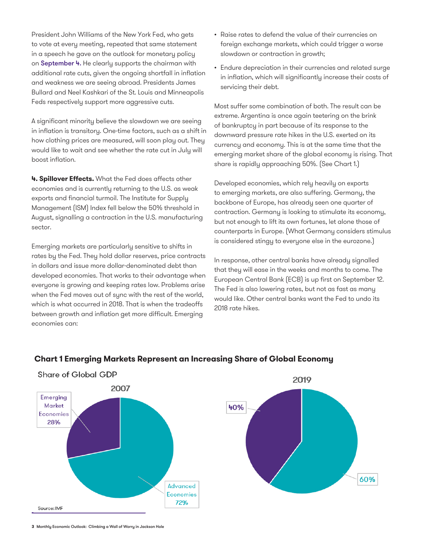President John Williams of the New York Fed, who gets to vote at every meeting, repeated that same statement in a speech he gave on the outlook for monetary policy on [September 4.](https://www.newyorkfed.org/newsevents/speeches/2019/wil190904) He clearly supports the chairman with additional rate cuts, given the ongoing shortfall in inflation and weakness we are seeing abroad. Presidents James Bullard and Neel Kashkari of the St. Louis and Minneapolis Feds respectively support more aggressive cuts.

A significant minority believe the slowdown we are seeing in inflation is transitory. One-time factors, such as a shift in how clothing prices are measured, will soon play out. They would like to wait and see whether the rate cut in July will boost inflation.

**4. Spillover Effects.** What the Fed does affects other economies and is currently returning to the U.S. as weak exports and financial turmoil. The Institute for Supply Management (ISM) Index fell below the 50% threshold in August, signalling a contraction in the U.S. manufacturing sector.

Emerging markets are particularly sensitive to shifts in rates by the Fed. They hold dollar reserves, price contracts in dollars and issue more dollar-denominated debt than developed economies. That works to their advantage when everyone is growing and keeping rates low. Problems arise when the Fed moves out of sync with the rest of the world, which is what occurred in 2018. That is when the tradeoffs between growth and inflation get more difficult. Emerging economies can:

- Raise rates to defend the value of their currencies on foreign exchange markets, which could trigger a worse slowdown or contraction in growth;
- Endure depreciation in their currencies and related surge in inflation, which will significantly increase their costs of servicing their debt.

Most suffer some combination of both. The result can be extreme. Argentina is once again teetering on the brink of bankruptcy in part because of its response to the downward pressure rate hikes in the U.S. exerted on its currency and economy. This is at the same time that the emerging market share of the global economy is rising. That share is rapidly approaching 50%. (See Chart 1.)

Developed economies, which rely heavily on exports to emerging markets, are also suffering. Germany, the backbone of Europe, has already seen one quarter of contraction. Germany is looking to stimulate its economy, but not enough to lift its own fortunes, let alone those of counterparts in Europe. (What Germany considers stimulus is considered stingy to everyone else in the eurozone.)

In response, other central banks have already signalled that they will ease in the weeks and months to come. The European Central Bank (ECB) is up first on September 12. The Fed is also lowering rates, but not as fast as many would like. Other central banks want the Fed to undo its 2018 rate hikes.

2019

60%



#### **Chart 1 Emerging Markets Represent an Increasing Share of Global Economy**

40%

Share of Global GDP

**3** Monthly Economic Outlook: Climbing a Wall of Worry in Jackson Hole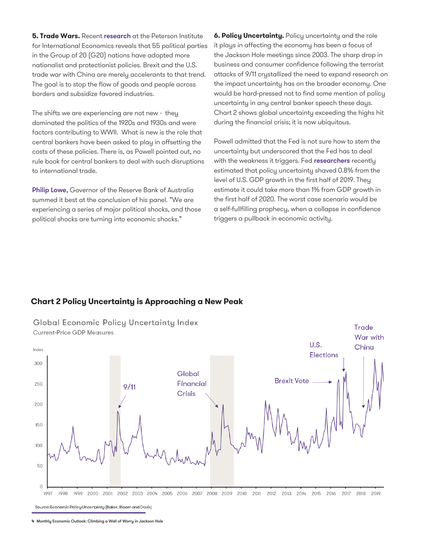**5. Trade Wars.** Recent [research](https://www.piie.com/sites/default/files/documents/wp19-15.pdf) at the Peterson Institute for International Economics reveals that 55 political parties in the Group of 20 (G20) nations have adopted more nationalist and protectionist policies. Brexit and the U.S. trade war with China are merely accelerants to that trend. The goal is to stop the flow of goods and people across borders and subsidize favored industries.

The shifts we are experiencing are not new - they dominated the politics of the 1920s and 1930s and were factors contributing to WWII. What is new is the role that central bankers have been asked to play in offsetting the costs of these policies. There is, as Powell pointed out, no rule book for central bankers to deal with such disruptions to international trade.

[Philip Lowe,](https://www.wsj.com/articles/central-bankers-worry-about-trumps-tactics-to-reorder-global-trade-11566760353) Governor of the Reserve Bank of Australia summed it best at the conclusion of his panel. "We are experiencing a series of major political shocks, and those political shocks are turning into economic shocks."

**6. Policy Uncertainty.** Policy uncertainty and the role it plays in affecting the economy has been a focus of the Jackson Hole meetings since 2003. The sharp drop in business and consumer confidence following the terrorist attacks of 9/11 crystallized the need to expand research on the impact uncertainty has on the broader economy. One would be hard-pressed not to find some mention of policy uncertainty in any central banker speech these days. Chart 2 shows global uncertainty exceeding the highs hit during the financial crisis; it is now ubiquitous.

Powell admitted that the Fed is not sure how to stem the uncertainty but underscored that the Fed has to deal with the weakness it triggers. Fed [researchers](https://www.federalreserve.gov/econres/notes/feds-notes/does-trade-policy-uncertainty-affect-global-economic-activity-20190904.htm?mod=article_inline) recently estimated that policy uncertainty shaved 0.8% from the level of U.S. GDP growth in the first half of 2019. They estimate it could take more than 1% from GDP growth in the first half of 2020. The worst case scenario would be a self-fullfilling prophecy, when a collapse in confidence triggers a pullback in economic activity.

#### **Chart 2 Policy Uncertainty is Approaching a New Peak**



Source: Economic Policy Uncertainty (Baker, Bloom and Davis)

**<sup>4</sup>** Monthly Economic Outlook: Climbing a Wall of Worry in Jackson Hole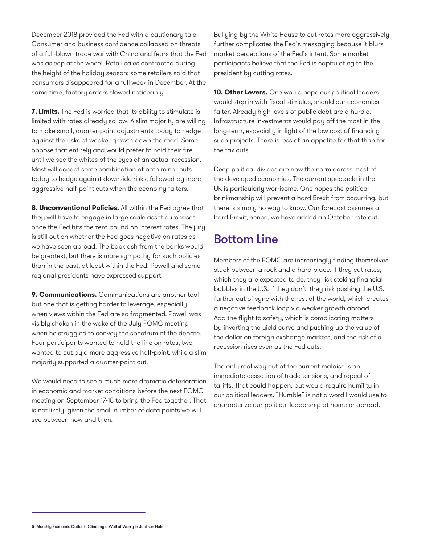December 2018 provided the Fed with a cautionary tale. Consumer and business confidence collapsed on threats of a full-blown trade war with China and fears that the Fed was asleep at the wheel. Retail sales contracted during the height of the holiday season; some retailers said that consumers disappeared for a full week in December. At the same time, factory orders slowed noticeably.

**7. Limits.** The Fed is worried that its ability to stimulate is limited with rates already so low. A slim majority are willing to make small, quarter-point adjustments today to hedge against the risks of weaker growth down the road. Some oppose that entirely and would prefer to hold their fire until we see the whites of the eyes of an actual recession. Most will accept some combination of both minor cuts today to hedge against downside risks, followed by more aggressive half-point cuts when the economy falters.

**8. Unconventional Policies.** All within the Fed agree that they will have to engage in large scale asset purchases once the Fed hits the zero bound on interest rates. The jury is still out on whether the Fed goes negative on rates as we have seen abroad. The backlash from the banks would be greatest, but there is more sympathy for such policies than in the past, at least within the Fed. Powell and some regional presidents have expressed support.

**9. Communications.** Communications are another tool but one that is getting harder to leverage, especially when views within the Fed are so fragmented. Powell was visibly shaken in the wake of the July FOMC meeting when he struggled to convey the spectrum of the debate. Four participants wanted to hold the line on rates, two wanted to cut by a more aggressive half-point, while a slim majority supported a quarter-point cut.

We would need to see a much more dramatic deterioration in economic and market conditions before the next FOMC meeting on September 17-18 to bring the Fed together. That is not likely, given the small number of data points we will see between now and then.

Bullying by the White House to cut rates more aggressively further complicates the Fed's messaging because it blurs market perceptions of the Fed's intent. Some market participants believe that the Fed is capitulating to the president by cutting rates.

**10. Other Levers.** One would hope our political leaders would step in with fiscal stimulus, should our economies falter. Already high levels of public debt are a hurdle. Infrastructure investments would pay off the most in the long-term, especially in light of the low cost of financing such projects. There is less of an appetite for that than for the tax cuts.

Deep political divides are now the norm across most of the developed economies. The current spectacle in the UK is particularly worrisome. One hopes the political brinkmanship will prevent a hard Brexit from occurring, but there is simply no way to know. Our forecast assumes a hard Brexit; hence, we have added an October rate cut.

## Bottom Line

Members of the FOMC are increasingly finding themselves stuck between a rock and a hard place. If they cut rates, which they are expected to do, they risk stoking financial bubbles in the U.S. If they don't, they risk pushing the U.S. further out of sync with the rest of the world, which creates a negative feedback loop via weaker growth abroad. Add the flight to safety, which is complicating matters by inverting the yield curve and pushing up the value of the dollar on foreign exchange markets, and the risk of a recession rises even as the Fed cuts.

The only real way out of the current malaise is an immediate cessation of trade tensions, and repeal of tariffs. That could happen, but would require humility in our political leaders. "Humble" is not a word I would use to characterize our political leadership at home or abroad.